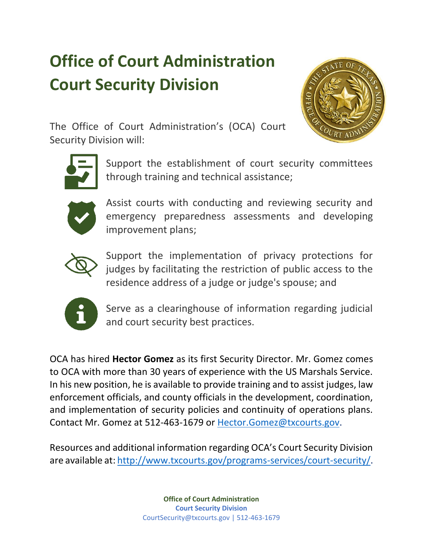## **Office of Court Administration Court Security Division**



The Office of Court Administration's (OCA) Court Security Division will:



Support the establishment of court security committees through training and technical assistance;



Assist courts with conducting and reviewing security and emergency preparedness assessments and developing improvement plans;



Support the implementation of privacy protections for judges by facilitating the restriction of public access to the residence address of a judge or judge's spouse; and



Serve as a clearinghouse of information regarding judicial and court security best practices.

OCA has hired **Hector Gomez** as its first Security Director. Mr. Gomez comes to OCA with more than 30 years of experience with the US Marshals Service. In his new position, he is available to provide training and to assist judges, law enforcement officials, and county officials in the development, coordination, and implementation of security policies and continuity of operations plans. Contact Mr. Gomez at 512-463-1679 or [Hector.Gomez@txcourts.gov.](mailto:Hector.Gomez@txcourts.gov)

Resources and additional information regarding OCA's Court Security Division are available at: [http://www.txcourts.gov/programs-services/court-security/.](http://www.txcourts.gov/programs-services/court-security/)